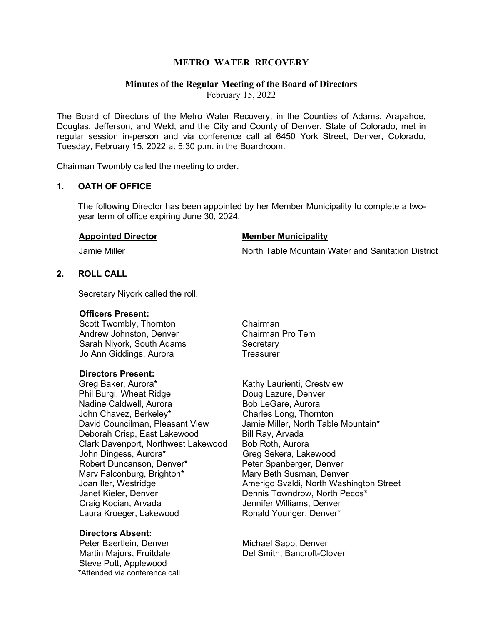# **METRO WATER RECOVERY**

# **Minutes of the Regular Meeting of the Board of Directors**

February 15, 2022

The Board of Directors of the Metro Water Recovery, in the Counties of Adams, Arapahoe, Douglas, Jefferson, and Weld, and the City and County of Denver, State of Colorado, met in regular session in-person and via conference call at 6450 York Street, Denver, Colorado, Tuesday, February 15, 2022 at 5:30 p.m. in the Boardroom.

Chairman Twombly called the meeting to order.

#### **1. OATH OF OFFICE**

The following Director has been appointed by her Member Municipality to complete a twoyear term of office expiring June 30, 2024.

#### **Appointed Director Member Municipality**

Jamie Miller North Table Mountain Water and Sanitation District

# **2. ROLL CALL**

Secretary Niyork called the roll.

#### **Officers Present:**

Scott Twombly, Thornton **Chairman** Andrew Johnston, Denver Chairman Pro Tem Sarah Nivork, South Adams Secretary Jo Ann Giddings, Aurora **Treasurer** 

#### **Directors Present:**

Greg Baker, Aurora\* The Controllect Crest Kathy Laurienti, Crestview Phil Burgi, Wheat Ridge Doug Lazure, Denver Nadine Caldwell, Aurora **Bob LeGare**, Aurora John Chavez, Berkeley\* Charles Long, Thornton David Councilman, Pleasant View Jamie Miller, North Table Mountain\* Deborah Crisp, East Lakewood Bill Ray, Arvada Clark Davenport, Northwest Lakewood Bob Roth, Aurora John Dingess, Aurora\* Greg Sekera, Lakewood Robert Duncanson, Denver\* Peter Spanberger, Denver Mary Falconburg, Brighton<sup>\*</sup> Mary Beth Susman, Denver Janet Kieler, Denver Dennis Towndrow, North Pecos\* Laura Kroeger, Lakewood Ronald Younger, Denver\*

# **Directors Absent:**

Martin Majors, Fruitdale Steve Pott, Applewood \*Attended via conference call

Joan Iler, Westridge **Amerigo Svaldi, North Washington Street** Jennifer Williams, Denver

Michael Sapp, Denver<br>Del Smith, Bancroft-Clover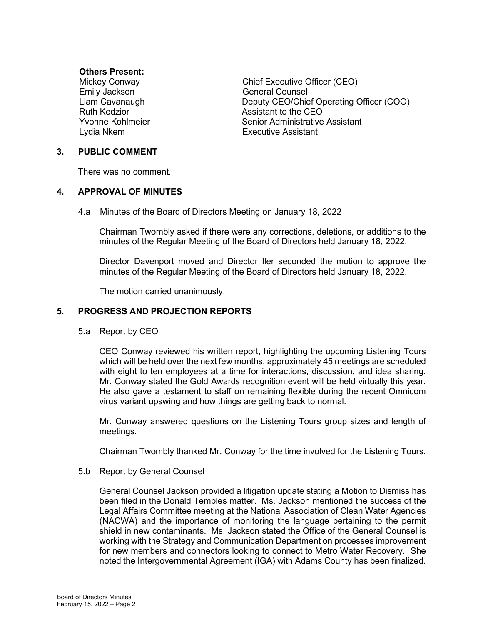# **Others Present:**

Emily Jackson **General Counsel** 

Mickey Conway Chief Executive Officer (CEO) Liam Cavanaugh Deputy CEO/Chief Operating Officer (COO) Ruth Kedzior **Assistant to the CEO** Yvonne Kohlmeier Senior Administrative Assistant Lydia Nkem Executive Assistant

# **3. PUBLIC COMMENT**

There was no comment.

# **4. APPROVAL OF MINUTES**

4.a Minutes of the Board of Directors Meeting on January 18, 2022

Chairman Twombly asked if there were any corrections, deletions, or additions to the minutes of the Regular Meeting of the Board of Directors held January 18, 2022.

Director Davenport moved and Director Iler seconded the motion to approve the minutes of the Regular Meeting of the Board of Directors held January 18, 2022.

The motion carried unanimously.

# **5. PROGRESS AND PROJECTION REPORTS**

5.a Report by CEO

CEO Conway reviewed his written report, highlighting the upcoming Listening Tours which will be held over the next few months, approximately 45 meetings are scheduled with eight to ten employees at a time for interactions, discussion, and idea sharing. Mr. Conway stated the Gold Awards recognition event will be held virtually this year. He also gave a testament to staff on remaining flexible during the recent Omnicom virus variant upswing and how things are getting back to normal.

Mr. Conway answered questions on the Listening Tours group sizes and length of meetings.

Chairman Twombly thanked Mr. Conway for the time involved for the Listening Tours.

#### 5.b Report by General Counsel

General Counsel Jackson provided a litigation update stating a Motion to Dismiss has been filed in the Donald Temples matter. Ms. Jackson mentioned the success of the Legal Affairs Committee meeting at the National Association of Clean Water Agencies (NACWA) and the importance of monitoring the language pertaining to the permit shield in new contaminants. Ms. Jackson stated the Office of the General Counsel is working with the Strategy and Communication Department on processes improvement for new members and connectors looking to connect to Metro Water Recovery. She noted the Intergovernmental Agreement (IGA) with Adams County has been finalized.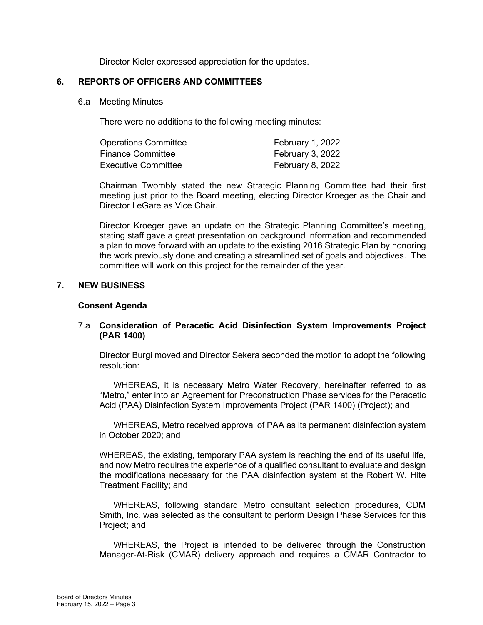Director Kieler expressed appreciation for the updates.

# **6. REPORTS OF OFFICERS AND COMMITTEES**

6.a Meeting Minutes

There were no additions to the following meeting minutes:

| <b>Operations Committee</b> | February 1, 2022 |
|-----------------------------|------------------|
| <b>Finance Committee</b>    | February 3, 2022 |
| Executive Committee         | February 8, 2022 |

Chairman Twombly stated the new Strategic Planning Committee had their first meeting just prior to the Board meeting, electing Director Kroeger as the Chair and Director LeGare as Vice Chair.

Director Kroeger gave an update on the Strategic Planning Committee's meeting, stating staff gave a great presentation on background information and recommended a plan to move forward with an update to the existing 2016 Strategic Plan by honoring the work previously done and creating a streamlined set of goals and objectives. The committee will work on this project for the remainder of the year.

# **7. NEW BUSINESS**

# **Consent Agenda**

# 7.a **Consideration of Peracetic Acid Disinfection System Improvements Project (PAR 1400)**

Director Burgi moved and Director Sekera seconded the motion to adopt the following resolution:

WHEREAS, it is necessary Metro Water Recovery, hereinafter referred to as "Metro," enter into an Agreement for Preconstruction Phase services for the Peracetic Acid (PAA) Disinfection System Improvements Project (PAR 1400) (Project); and

WHEREAS, Metro received approval of PAA as its permanent disinfection system in October 2020; and

WHEREAS, the existing, temporary PAA system is reaching the end of its useful life, and now Metro requires the experience of a qualified consultant to evaluate and design the modifications necessary for the PAA disinfection system at the Robert W. Hite Treatment Facility; and

WHEREAS, following standard Metro consultant selection procedures, CDM Smith, Inc. was selected as the consultant to perform Design Phase Services for this Project; and

WHEREAS, the Project is intended to be delivered through the Construction Manager-At-Risk (CMAR) delivery approach and requires a CMAR Contractor to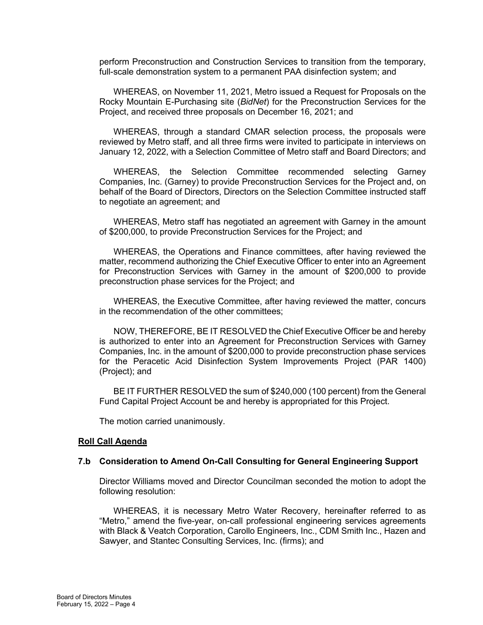perform Preconstruction and Construction Services to transition from the temporary, full-scale demonstration system to a permanent PAA disinfection system; and

WHEREAS, on November 11, 2021, Metro issued a Request for Proposals on the Rocky Mountain E-Purchasing site (*BidNet*) for the Preconstruction Services for the Project, and received three proposals on December 16, 2021; and

WHEREAS, through a standard CMAR selection process, the proposals were reviewed by Metro staff, and all three firms were invited to participate in interviews on January 12, 2022, with a Selection Committee of Metro staff and Board Directors; and

WHEREAS, the Selection Committee recommended selecting Garney Companies, Inc. (Garney) to provide Preconstruction Services for the Project and, on behalf of the Board of Directors, Directors on the Selection Committee instructed staff to negotiate an agreement; and

WHEREAS, Metro staff has negotiated an agreement with Garney in the amount of \$200,000, to provide Preconstruction Services for the Project; and

WHEREAS, the Operations and Finance committees, after having reviewed the matter, recommend authorizing the Chief Executive Officer to enter into an Agreement for Preconstruction Services with Garney in the amount of \$200,000 to provide preconstruction phase services for the Project; and

WHEREAS, the Executive Committee, after having reviewed the matter, concurs in the recommendation of the other committees;

NOW, THEREFORE, BE IT RESOLVED the Chief Executive Officer be and hereby is authorized to enter into an Agreement for Preconstruction Services with Garney Companies, Inc. in the amount of \$200,000 to provide preconstruction phase services for the Peracetic Acid Disinfection System Improvements Project (PAR 1400) (Project); and

BE IT FURTHER RESOLVED the sum of \$240,000 (100 percent) from the General Fund Capital Project Account be and hereby is appropriated for this Project.

The motion carried unanimously.

#### **Roll Call Agenda**

#### **7.b Consideration to Amend On-Call Consulting for General Engineering Support**

Director Williams moved and Director Councilman seconded the motion to adopt the following resolution:

WHEREAS, it is necessary Metro Water Recovery, hereinafter referred to as "Metro," amend the five-year, on-call professional engineering services agreements with Black & Veatch Corporation, Carollo Engineers, Inc., CDM Smith Inc., Hazen and Sawyer, and Stantec Consulting Services, Inc. (firms); and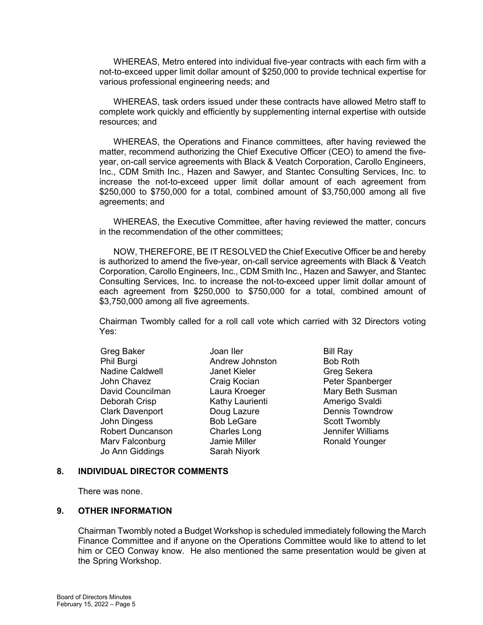WHEREAS, Metro entered into individual five-year contracts with each firm with a not-to-exceed upper limit dollar amount of \$250,000 to provide technical expertise for various professional engineering needs; and

WHEREAS, task orders issued under these contracts have allowed Metro staff to complete work quickly and efficiently by supplementing internal expertise with outside resources; and

WHEREAS, the Operations and Finance committees, after having reviewed the matter, recommend authorizing the Chief Executive Officer (CEO) to amend the fiveyear, on-call service agreements with Black & Veatch Corporation, Carollo Engineers, Inc., CDM Smith Inc., Hazen and Sawyer, and Stantec Consulting Services, Inc. to increase the not-to-exceed upper limit dollar amount of each agreement from \$250,000 to \$750,000 for a total, combined amount of \$3,750,000 among all five agreements; and

WHEREAS, the Executive Committee, after having reviewed the matter, concurs in the recommendation of the other committees;

NOW, THEREFORE, BE IT RESOLVED the Chief Executive Officer be and hereby is authorized to amend the five-year, on-call service agreements with Black & Veatch Corporation, Carollo Engineers, Inc., CDM Smith Inc., Hazen and Sawyer, and Stantec Consulting Services, Inc. to increase the not-to-exceed upper limit dollar amount of each agreement from \$250,000 to \$750,000 for a total, combined amount of \$3,750,000 among all five agreements.

Chairman Twombly called for a roll call vote which carried with 32 Directors voting Yes:

Greg Baker **Joan Iler** Bill Ray Phil Burgi Andrew Johnston Bob Roth<br>Nadine Caldwell Janet Kieler Greg Sek Nadine Caldwell Manet Kieler Greg Sekera<br>
John Chavez Craig Kocian Greg Sekera<br>
Peter Spanbe David Councilman Laura Kroeger Mary Beth Susman Deborah Crisp Kathy Laurienti Mamerigo Svaldi Clark Davenport **Doug Lazure** Dennis Towndrow John Dingess Bob LeGare Scott Twombly Robert Duncanson Charles Long Jennifer Williams Marv Falconburg **Jamie Miller** Ronald Younger Jo Ann Giddings Sarah Niyork

Craig Kocian **Peter Spanberger** 

#### **8. INDIVIDUAL DIRECTOR COMMENTS**

There was none.

#### **9. OTHER INFORMATION**

Chairman Twombly noted a Budget Workshop is scheduled immediately following the March Finance Committee and if anyone on the Operations Committee would like to attend to let him or CEO Conway know. He also mentioned the same presentation would be given at the Spring Workshop.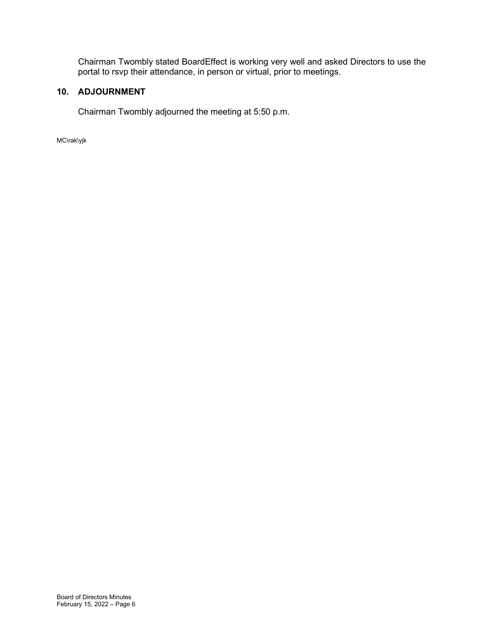Chairman Twombly stated BoardEffect is working very well and asked Directors to use the portal to rsvp their attendance, in person or virtual, prior to meetings.

# **10. ADJOURNMENT**

Chairman Twombly adjourned the meeting at 5:50 p.m.

MC\rak\yjk